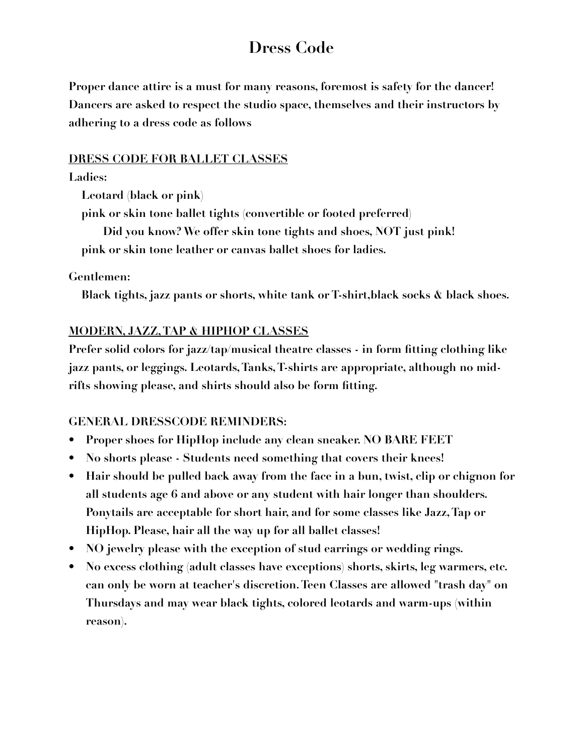# **Dress Code**

**Proper dance attire is a must for many reasons, foremost is safety for the dancer! Dancers are asked to respect the studio space, themselves and their instructors by adhering to a dress code as follows** 

#### **DRESS CODE FOR BALLET CLASSES**

#### **Ladies:**

 **Leotard (black or pink)** 

 **pink or skin tone ballet tights (convertible or footed preferred)** 

 **Did you know? We offer skin tone tights and shoes, NOT just pink! pink or skin tone leather or canvas ballet shoes for ladies.** 

### **Gentlemen:**

 **Black tights, jazz pants or shorts, white tank or T-shirt,black socks & black shoes.** 

## **MODERN, JAZZ, TAP & HIPHOP CLASSES**

**Prefer solid colors for jazz/tap/musical theatre classes - in form fitting clothing like jazz pants, or leggings. Leotards, Tanks, T-shirts are appropriate, although no midrifts showing please, and shirts should also be form fitting.**

## **GENERAL DRESSCODE REMINDERS:**

- **• Proper shoes for HipHop include any clean sneaker. NO BARE FEET**
- **• No shorts please Students need something that covers their knees!**
- **• Hair should be pulled back away from the face in a bun, twist, clip or chignon for all students age 6 and above or any student with hair longer than shoulders. Ponytails are acceptable for short hair, and for some classes like Jazz, Tap or HipHop. Please, hair all the way up for all ballet classes!**
- **• NO jewelry please with the exception of stud earrings or wedding rings.**
- **• No excess clothing (adult classes have exceptions) shorts, skirts, leg warmers, etc. can only be worn at teacher's discretion. Teen Classes are allowed "trash day" on Thursdays and may wear black tights, colored leotards and warm-ups (within reason).**